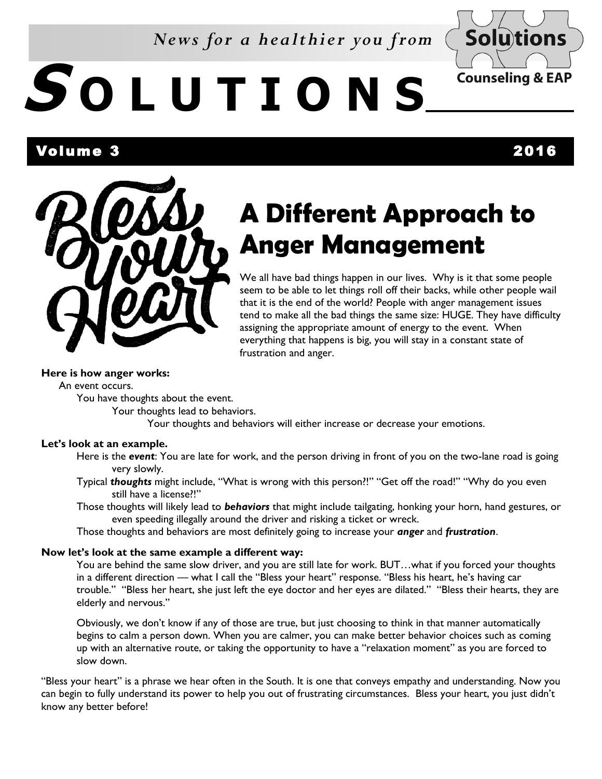### *News for a healthier you from*



# **S O L U T I O N S**

l Volume 3 2016



## **A Different Approach to Anger Management**

We all have bad things happen in our lives. Why is it that some people seem to be able to let things roll off their backs, while other people wail that it is the end of the world? People with anger management issues tend to make all the bad things the same size: HUGE. They have difficulty assigning the appropriate amount of energy to the event. When everything that happens is big, you will stay in a constant state of frustration and anger.

#### **Here is how anger works:**

An event occurs.

You have thoughts about the event.

Your thoughts lead to behaviors.

Your thoughts and behaviors will either increase or decrease your emotions.

#### **Let's look at an example.**

Here is the *event*: You are late for work, and the person driving in front of you on the two-lane road is going very slowly.

Typical *thoughts* might include, "What is wrong with this person?!" "Get off the road!" "Why do you even still have a license?!"

Those thoughts will likely lead to *behaviors* that might include tailgating, honking your horn, hand gestures, or even speeding illegally around the driver and risking a ticket or wreck.

Those thoughts and behaviors are most definitely going to increase your *anger* and *frustration*.

#### **Now let's look at the same example a different way:**

You are behind the same slow driver, and you are still late for work. BUT…what if you forced your thoughts in a different direction — what I call the "Bless your heart" response. "Bless his heart, he's having car trouble." "Bless her heart, she just left the eye doctor and her eyes are dilated." "Bless their hearts, they are elderly and nervous."

Obviously, we don't know if any of those are true, but just choosing to think in that manner automatically begins to calm a person down. When you are calmer, you can make better behavior choices such as coming up with an alternative route, or taking the opportunity to have a "relaxation moment" as you are forced to slow down.

"Bless your heart" is a phrase we hear often in the South. It is one that conveys empathy and understanding. Now you can begin to fully understand its power to help you out of frustrating circumstances. Bless your heart, you just didn't know any better before!